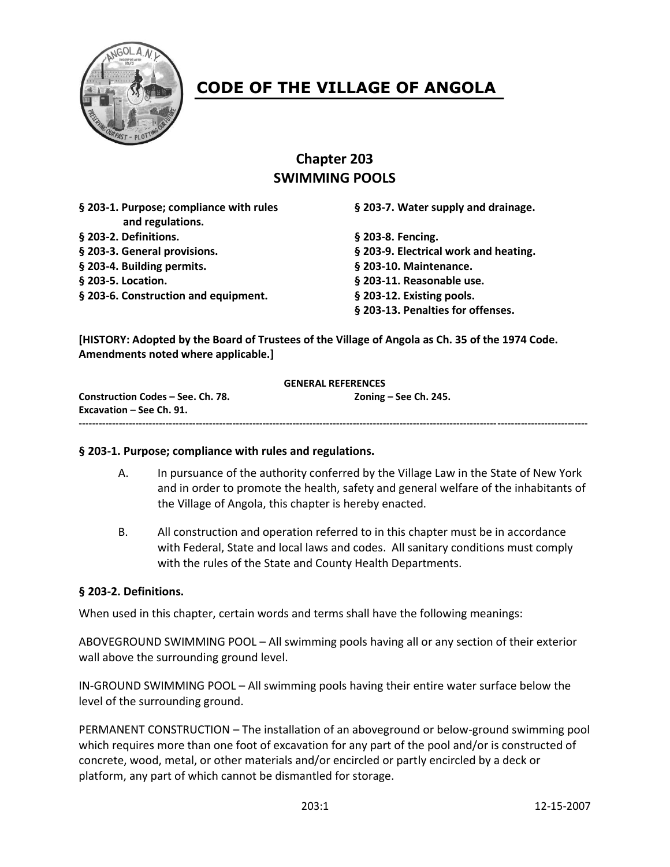

# **CODE OF THE VILLAGE OF ANGOLA**

# **Chapter 203 SWIMMING POOLS**

**§ 203-1. Purpose; compliance with rules § 203-7. Water supply and drainage. and regulations. § 203-2. Definitions. § 203-8. Fencing. § 203-3. General provisions. § 203-9. Electrical work and heating. § 203-4. Building permits. § 203-10. Maintenance. § 203-5. Location. § 203-11. Reasonable use. § 203-6. Construction and equipment. § 203-12. Existing pools.**

**§ 203-13. Penalties for offenses.**

**--------------------------------------------------------------------------------------------------------------------------------------------------------**

**[HISTORY: Adopted by the Board of Trustees of the Village of Angola as Ch. 35 of the 1974 Code. Amendments noted where applicable.]**

#### **GENERAL REFERENCES**

**Construction Codes – See. Ch. 78. Zoning – See Ch. 245. Excavation – See Ch. 91.**

#### **§ 203-1. Purpose; compliance with rules and regulations.**

- A. In pursuance of the authority conferred by the Village Law in the State of New York and in order to promote the health, safety and general welfare of the inhabitants of the Village of Angola, this chapter is hereby enacted.
- B. All construction and operation referred to in this chapter must be in accordance with Federal, State and local laws and codes. All sanitary conditions must comply with the rules of the State and County Health Departments.

#### **§ 203-2. Definitions.**

When used in this chapter, certain words and terms shall have the following meanings:

ABOVEGROUND SWIMMING POOL – All swimming pools having all or any section of their exterior wall above the surrounding ground level.

IN-GROUND SWIMMING POOL – All swimming pools having their entire water surface below the level of the surrounding ground.

PERMANENT CONSTRUCTION – The installation of an aboveground or below-ground swimming pool which requires more than one foot of excavation for any part of the pool and/or is constructed of concrete, wood, metal, or other materials and/or encircled or partly encircled by a deck or platform, any part of which cannot be dismantled for storage.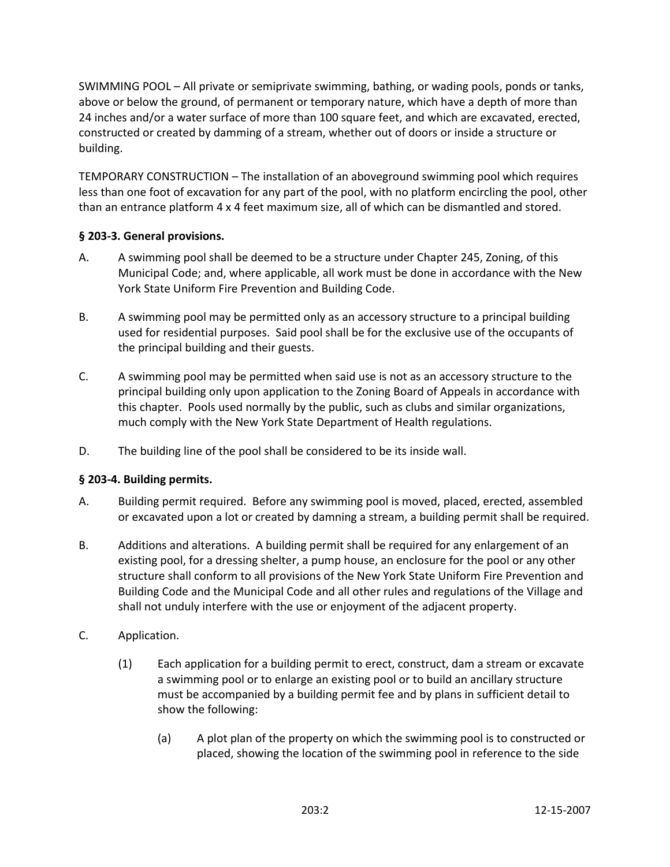SWIMMING POOL – All private or semiprivate swimming, bathing, or wading pools, ponds or tanks, above or below the ground, of permanent or temporary nature, which have a depth of more than 24 inches and/or a water surface of more than 100 square feet, and which are excavated, erected, constructed or created by damming of a stream, whether out of doors or inside a structure or building.

TEMPORARY CONSTRUCTION – The installation of an aboveground swimming pool which requires less than one foot of excavation for any part of the pool, with no platform encircling the pool, other than an entrance platform 4 x 4 feet maximum size, all of which can be dismantled and stored.

#### **§ 203-3. General provisions.**

- A. A swimming pool shall be deemed to be a structure under Chapter 245, Zoning, of this Municipal Code; and, where applicable, all work must be done in accordance with the New York State Uniform Fire Prevention and Building Code.
- B. A swimming pool may be permitted only as an accessory structure to a principal building used for residential purposes. Said pool shall be for the exclusive use of the occupants of the principal building and their guests.
- C. A swimming pool may be permitted when said use is not as an accessory structure to the principal building only upon application to the Zoning Board of Appeals in accordance with this chapter. Pools used normally by the public, such as clubs and similar organizations, much comply with the New York State Department of Health regulations.
- D. The building line of the pool shall be considered to be its inside wall.

#### **§ 203-4. Building permits.**

- A. Building permit required. Before any swimming pool is moved, placed, erected, assembled or excavated upon a lot or created by damning a stream, a building permit shall be required.
- B. Additions and alterations. A building permit shall be required for any enlargement of an existing pool, for a dressing shelter, a pump house, an enclosure for the pool or any other structure shall conform to all provisions of the New York State Uniform Fire Prevention and Building Code and the Municipal Code and all other rules and regulations of the Village and shall not unduly interfere with the use or enjoyment of the adjacent property.
- C. Application.
	- (1) Each application for a building permit to erect, construct, dam a stream or excavate a swimming pool or to enlarge an existing pool or to build an ancillary structure must be accompanied by a building permit fee and by plans in sufficient detail to show the following:
		- (a) A plot plan of the property on which the swimming pool is to constructed or placed, showing the location of the swimming pool in reference to the side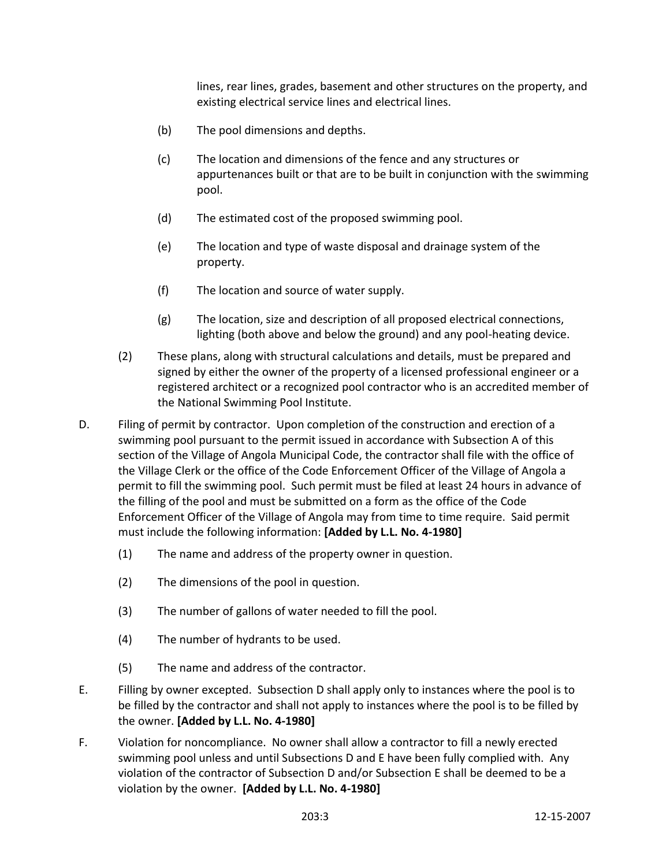lines, rear lines, grades, basement and other structures on the property, and existing electrical service lines and electrical lines.

- (b) The pool dimensions and depths.
- (c) The location and dimensions of the fence and any structures or appurtenances built or that are to be built in conjunction with the swimming pool.
- (d) The estimated cost of the proposed swimming pool.
- (e) The location and type of waste disposal and drainage system of the property.
- (f) The location and source of water supply.
- (g) The location, size and description of all proposed electrical connections, lighting (both above and below the ground) and any pool-heating device.
- (2) These plans, along with structural calculations and details, must be prepared and signed by either the owner of the property of a licensed professional engineer or a registered architect or a recognized pool contractor who is an accredited member of the National Swimming Pool Institute.
- D. Filing of permit by contractor. Upon completion of the construction and erection of a swimming pool pursuant to the permit issued in accordance with Subsection A of this section of the Village of Angola Municipal Code, the contractor shall file with the office of the Village Clerk or the office of the Code Enforcement Officer of the Village of Angola a permit to fill the swimming pool. Such permit must be filed at least 24 hours in advance of the filling of the pool and must be submitted on a form as the office of the Code Enforcement Officer of the Village of Angola may from time to time require. Said permit must include the following information: **[Added by L.L. No. 4-1980]**
	- (1) The name and address of the property owner in question.
	- (2) The dimensions of the pool in question.
	- (3) The number of gallons of water needed to fill the pool.
	- (4) The number of hydrants to be used.
	- (5) The name and address of the contractor.
- E. Filling by owner excepted. Subsection D shall apply only to instances where the pool is to be filled by the contractor and shall not apply to instances where the pool is to be filled by the owner. **[Added by L.L. No. 4-1980]**
- F. Violation for noncompliance. No owner shall allow a contractor to fill a newly erected swimming pool unless and until Subsections D and E have been fully complied with. Any violation of the contractor of Subsection D and/or Subsection E shall be deemed to be a violation by the owner. **[Added by L.L. No. 4-1980]**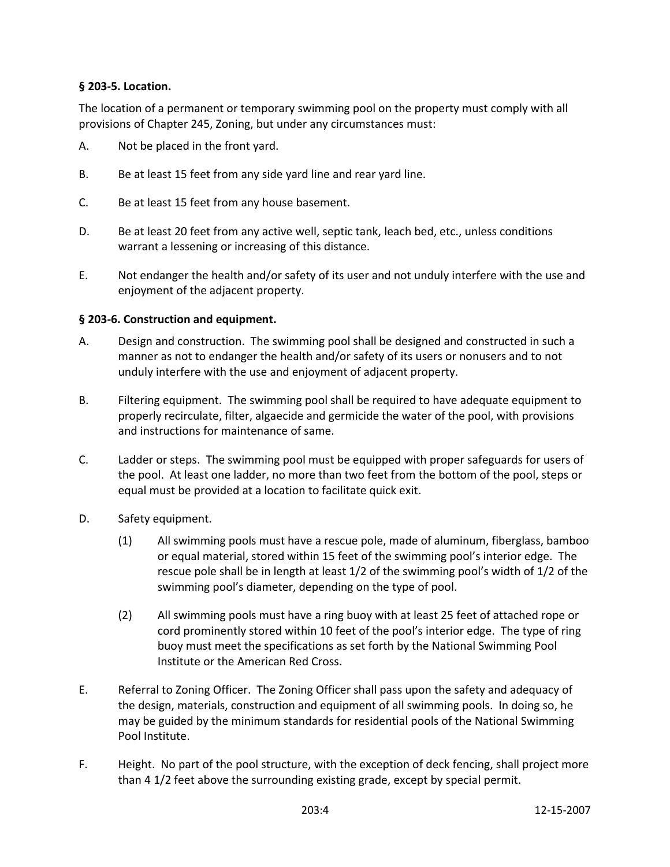#### **§ 203-5. Location.**

The location of a permanent or temporary swimming pool on the property must comply with all provisions of Chapter 245, Zoning, but under any circumstances must:

- A. Not be placed in the front yard.
- B. Be at least 15 feet from any side yard line and rear yard line.
- C. Be at least 15 feet from any house basement.
- D. Be at least 20 feet from any active well, septic tank, leach bed, etc., unless conditions warrant a lessening or increasing of this distance.
- E. Not endanger the health and/or safety of its user and not unduly interfere with the use and enjoyment of the adjacent property.

#### **§ 203-6. Construction and equipment.**

- A. Design and construction. The swimming pool shall be designed and constructed in such a manner as not to endanger the health and/or safety of its users or nonusers and to not unduly interfere with the use and enjoyment of adjacent property.
- B. Filtering equipment. The swimming pool shall be required to have adequate equipment to properly recirculate, filter, algaecide and germicide the water of the pool, with provisions and instructions for maintenance of same.
- C. Ladder or steps. The swimming pool must be equipped with proper safeguards for users of the pool. At least one ladder, no more than two feet from the bottom of the pool, steps or equal must be provided at a location to facilitate quick exit.
- D. Safety equipment.
	- (1) All swimming pools must have a rescue pole, made of aluminum, fiberglass, bamboo or equal material, stored within 15 feet of the swimming pool's interior edge. The rescue pole shall be in length at least 1/2 of the swimming pool's width of 1/2 of the swimming pool's diameter, depending on the type of pool.
	- (2) All swimming pools must have a ring buoy with at least 25 feet of attached rope or cord prominently stored within 10 feet of the pool's interior edge. The type of ring buoy must meet the specifications as set forth by the National Swimming Pool Institute or the American Red Cross.
- E. Referral to Zoning Officer. The Zoning Officer shall pass upon the safety and adequacy of the design, materials, construction and equipment of all swimming pools. In doing so, he may be guided by the minimum standards for residential pools of the National Swimming Pool Institute.
- F. Height. No part of the pool structure, with the exception of deck fencing, shall project more than 4 1/2 feet above the surrounding existing grade, except by special permit.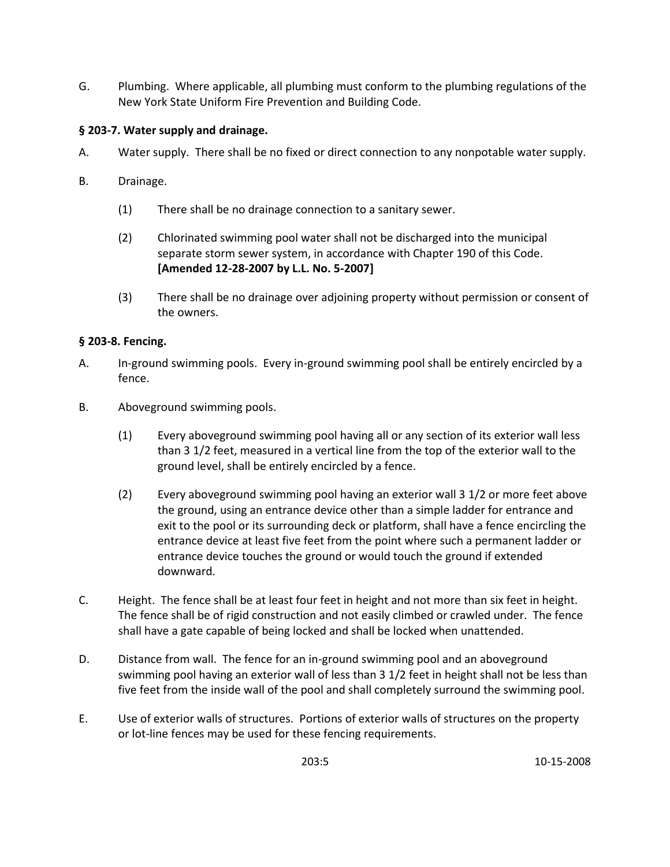G. Plumbing. Where applicable, all plumbing must conform to the plumbing regulations of the New York State Uniform Fire Prevention and Building Code.

# **§ 203-7. Water supply and drainage.**

- A. Water supply. There shall be no fixed or direct connection to any nonpotable water supply.
- B. Drainage.
	- (1) There shall be no drainage connection to a sanitary sewer.
	- (2) Chlorinated swimming pool water shall not be discharged into the municipal separate storm sewer system, in accordance with Chapter 190 of this Code. **[Amended 12-28-2007 by L.L. No. 5-2007]**
	- (3) There shall be no drainage over adjoining property without permission or consent of the owners.

# **§ 203-8. Fencing.**

- A. In-ground swimming pools. Every in-ground swimming pool shall be entirely encircled by a fence.
- B. Aboveground swimming pools.
	- (1) Every aboveground swimming pool having all or any section of its exterior wall less than 3 1/2 feet, measured in a vertical line from the top of the exterior wall to the ground level, shall be entirely encircled by a fence.
	- (2) Every aboveground swimming pool having an exterior wall 3 1/2 or more feet above the ground, using an entrance device other than a simple ladder for entrance and exit to the pool or its surrounding deck or platform, shall have a fence encircling the entrance device at least five feet from the point where such a permanent ladder or entrance device touches the ground or would touch the ground if extended downward.
- C. Height. The fence shall be at least four feet in height and not more than six feet in height. The fence shall be of rigid construction and not easily climbed or crawled under. The fence shall have a gate capable of being locked and shall be locked when unattended.
- D. Distance from wall. The fence for an in-ground swimming pool and an aboveground swimming pool having an exterior wall of less than 3 1/2 feet in height shall not be less than five feet from the inside wall of the pool and shall completely surround the swimming pool.
- E. Use of exterior walls of structures. Portions of exterior walls of structures on the property or lot-line fences may be used for these fencing requirements.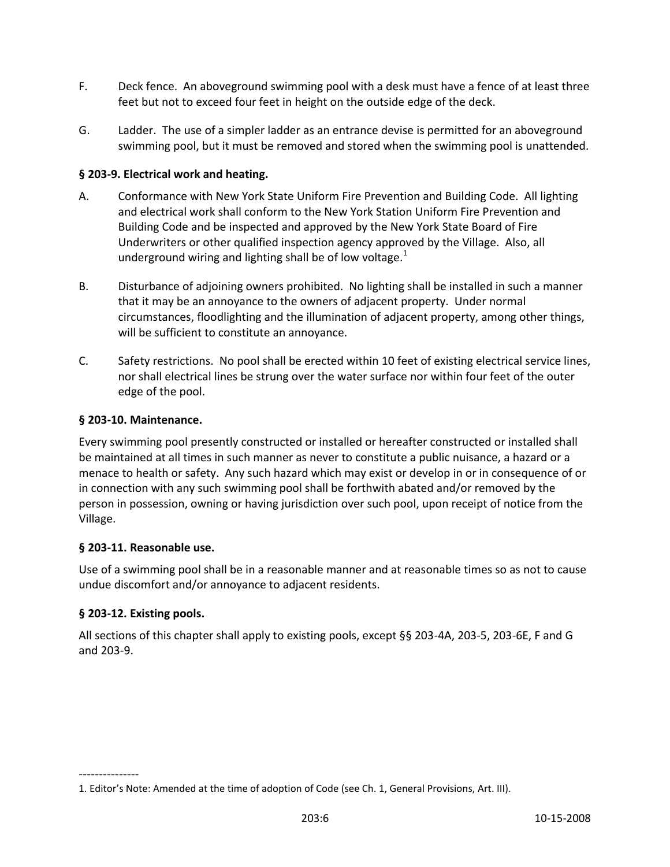- F. Deck fence. An aboveground swimming pool with a desk must have a fence of at least three feet but not to exceed four feet in height on the outside edge of the deck.
- G. Ladder. The use of a simpler ladder as an entrance devise is permitted for an aboveground swimming pool, but it must be removed and stored when the swimming pool is unattended.

### **§ 203-9. Electrical work and heating.**

- A. Conformance with New York State Uniform Fire Prevention and Building Code. All lighting and electrical work shall conform to the New York Station Uniform Fire Prevention and Building Code and be inspected and approved by the New York State Board of Fire Underwriters or other qualified inspection agency approved by the Village. Also, all underground wiring and lighting shall be of low voltage. $<sup>1</sup>$ </sup>
- B. Disturbance of adjoining owners prohibited. No lighting shall be installed in such a manner that it may be an annoyance to the owners of adjacent property. Under normal circumstances, floodlighting and the illumination of adjacent property, among other things, will be sufficient to constitute an annoyance.
- C. Safety restrictions. No pool shall be erected within 10 feet of existing electrical service lines, nor shall electrical lines be strung over the water surface nor within four feet of the outer edge of the pool.

#### **§ 203-10. Maintenance.**

Every swimming pool presently constructed or installed or hereafter constructed or installed shall be maintained at all times in such manner as never to constitute a public nuisance, a hazard or a menace to health or safety. Any such hazard which may exist or develop in or in consequence of or in connection with any such swimming pool shall be forthwith abated and/or removed by the person in possession, owning or having jurisdiction over such pool, upon receipt of notice from the Village.

#### **§ 203-11. Reasonable use.**

Use of a swimming pool shall be in a reasonable manner and at reasonable times so as not to cause undue discomfort and/or annoyance to adjacent residents.

#### **§ 203-12. Existing pools.**

---------------

All sections of this chapter shall apply to existing pools, except §§ 203-4A, 203-5, 203-6E, F and G and 203-9.

<sup>1</sup>. Editor's Note: Amended at the time of adoption of Code (see Ch. 1, General Provisions, Art. III).